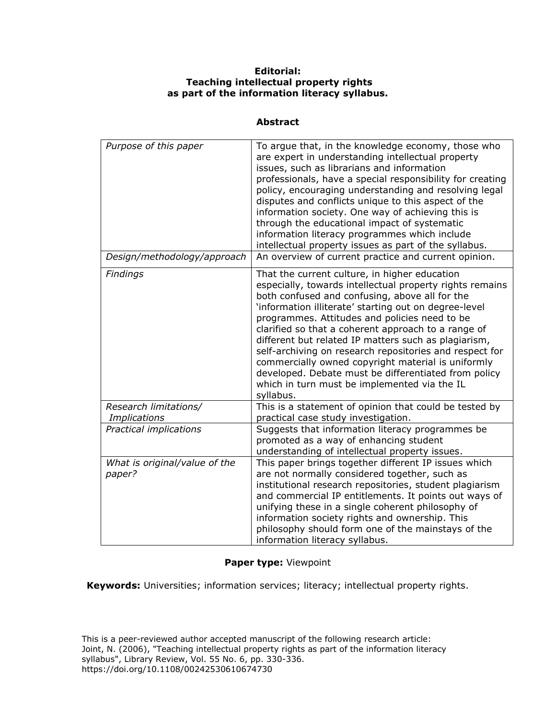## **Editorial: Teaching intellectual property rights as part of the information literacy syllabus.**

## **Abstract**

| Purpose of this paper                        | To argue that, in the knowledge economy, those who<br>are expert in understanding intellectual property<br>issues, such as librarians and information<br>professionals, have a special responsibility for creating<br>policy, encouraging understanding and resolving legal<br>disputes and conflicts unique to this aspect of the<br>information society. One way of achieving this is<br>through the educational impact of systematic<br>information literacy programmes which include<br>intellectual property issues as part of the syllabus.                                                                          |
|----------------------------------------------|----------------------------------------------------------------------------------------------------------------------------------------------------------------------------------------------------------------------------------------------------------------------------------------------------------------------------------------------------------------------------------------------------------------------------------------------------------------------------------------------------------------------------------------------------------------------------------------------------------------------------|
| Design/methodology/approach                  | An overview of current practice and current opinion.                                                                                                                                                                                                                                                                                                                                                                                                                                                                                                                                                                       |
| <b>Findings</b>                              | That the current culture, in higher education<br>especially, towards intellectual property rights remains<br>both confused and confusing, above all for the<br>'information illiterate' starting out on degree-level<br>programmes. Attitudes and policies need to be<br>clarified so that a coherent approach to a range of<br>different but related IP matters such as plagiarism,<br>self-archiving on research repositories and respect for<br>commercially owned copyright material is uniformly<br>developed. Debate must be differentiated from policy<br>which in turn must be implemented via the IL<br>syllabus. |
| Research limitations/<br><b>Implications</b> | This is a statement of opinion that could be tested by<br>practical case study investigation.                                                                                                                                                                                                                                                                                                                                                                                                                                                                                                                              |
| Practical implications                       | Suggests that information literacy programmes be<br>promoted as a way of enhancing student<br>understanding of intellectual property issues.                                                                                                                                                                                                                                                                                                                                                                                                                                                                               |
| What is original/value of the<br>paper?      | This paper brings together different IP issues which<br>are not normally considered together, such as<br>institutional research repositories, student plagiarism<br>and commercial IP entitlements. It points out ways of<br>unifying these in a single coherent philosophy of<br>information society rights and ownership. This<br>philosophy should form one of the mainstays of the<br>information literacy syllabus.                                                                                                                                                                                                   |

## **Paper type:** Viewpoint

**Keywords:** Universities; information services; literacy; intellectual property rights.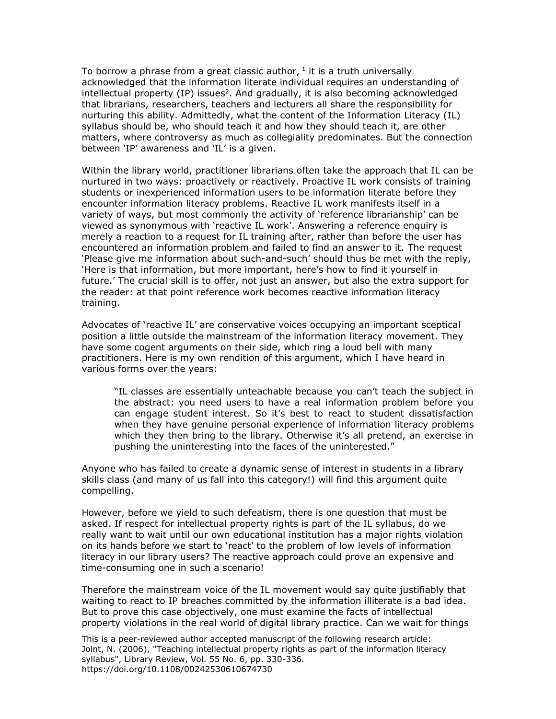To borrow a phrase from a great classic author,  $1$  it is a truth universally acknowledged that the information literate individual requires an understanding of intellectual property (IP) issues<sup>2</sup>. And gradually, it is also becoming acknowledged that librarians, researchers, teachers and lecturers all share the responsibility for nurturing this ability. Admittedly, what the content of the Information Literacy (IL) syllabus should be, who should teach it and how they should teach it, are other matters, where controversy as much as collegiality predominates. But the connection between 'IP' awareness and 'IL' is a given.

Within the library world, practitioner librarians often take the approach that IL can be nurtured in two ways: proactively or reactively. Proactive IL work consists of training students or inexperienced information users to be information literate before they encounter information literacy problems. Reactive IL work manifests itself in a variety of ways, but most commonly the activity of 'reference librarianship' can be viewed as synonymous with 'reactive IL work'. Answering a reference enquiry is merely a reaction to a request for IL training after, rather than before the user has encountered an information problem and failed to find an answer to it. The request 'Please give me information about such-and-such' should thus be met with the reply, 'Here is that information, but more important, here's how to find it yourself in future.' The crucial skill is to offer, not just an answer, but also the extra support for the reader: at that point reference work becomes reactive information literacy training.

Advocates of 'reactive IL' are conservative voices occupying an important sceptical position a little outside the mainstream of the information literacy movement. They have some cogent arguments on their side, which ring a loud bell with many practitioners. Here is my own rendition of this argument, which I have heard in various forms over the years:

"IL classes are essentially unteachable because you can't teach the subject in the abstract: you need users to have a real information problem before you can engage student interest. So it's best to react to student dissatisfaction when they have genuine personal experience of information literacy problems which they then bring to the library. Otherwise it's all pretend, an exercise in pushing the uninteresting into the faces of the uninterested."

Anyone who has failed to create a dynamic sense of interest in students in a library skills class (and many of us fall into this category!) will find this argument quite compelling.

However, before we yield to such defeatism, there is one question that must be asked. If respect for intellectual property rights is part of the IL syllabus, do we really want to wait until our own educational institution has a major rights violation on its hands before we start to 'react' to the problem of low levels of information literacy in our library users? The reactive approach could prove an expensive and time-consuming one in such a scenario!

Therefore the mainstream voice of the IL movement would say quite justifiably that waiting to react to IP breaches committed by the information illiterate is a bad idea. But to prove this case objectively, one must examine the facts of intellectual property violations in the real world of digital library practice. Can we wait for things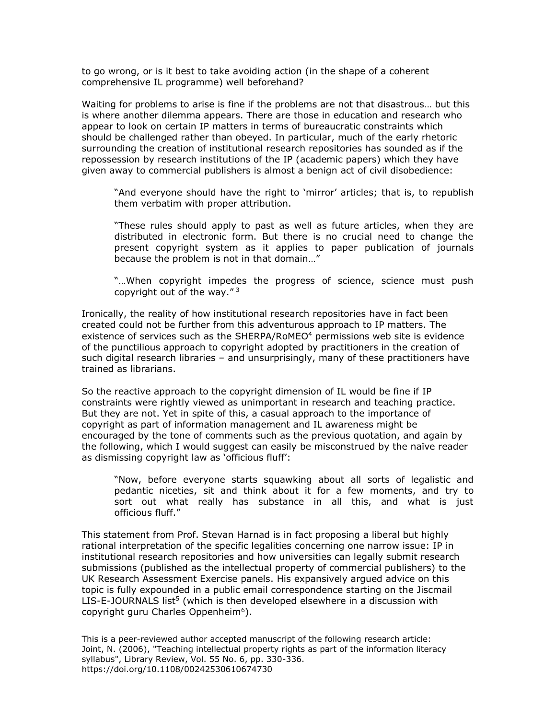to go wrong, or is it best to take avoiding action (in the shape of a coherent comprehensive IL programme) well beforehand?

Waiting for problems to arise is fine if the problems are not that disastrous… but this is where another dilemma appears. There are those in education and research who appear to look on certain IP matters in terms of bureaucratic constraints which should be challenged rather than obeyed. In particular, much of the early rhetoric surrounding the creation of institutional research repositories has sounded as if the repossession by research institutions of the IP (academic papers) which they have given away to commercial publishers is almost a benign act of civil disobedience:

"And everyone should have the right to 'mirror' articles; that is, to republish them verbatim with proper attribution.

"These rules should apply to past as well as future articles, when they are distributed in electronic form. But there is no crucial need to change the present copyright system as it applies to paper publication of journals because the problem is not in that domain…"

"…When copyright impedes the progress of science, science must push copyright out of the way." $3$ 

Ironically, the reality of how institutional research repositories have in fact been created could not be further from this adventurous approach to IP matters. The existence of services such as the SHERPA/RoMEO $4$  permissions web site is evidence of the punctilious approach to copyright adopted by practitioners in the creation of such digital research libraries – and unsurprisingly, many of these practitioners have trained as librarians.

So the reactive approach to the copyright dimension of IL would be fine if IP constraints were rightly viewed as unimportant in research and teaching practice. But they are not. Yet in spite of this, a casual approach to the importance of copyright as part of information management and IL awareness might be encouraged by the tone of comments such as the previous quotation, and again by the following, which I would suggest can easily be misconstrued by the naïve reader as dismissing copyright law as 'officious fluff':

"Now, before everyone starts squawking about all sorts of legalistic and pedantic niceties, sit and think about it for a few moments, and try to sort out what really has substance in all this, and what is just officious fluff."

This statement from Prof. Stevan Harnad is in fact proposing a liberal but highly rational interpretation of the specific legalities concerning one narrow issue: IP in institutional research repositories and how universities can legally submit research submissions (published as the intellectual property of commercial publishers) to the UK Research Assessment Exercise panels. His expansively argued advice on this topic is fully expounded in a public email correspondence starting on the Jiscmail LIS-E-JOURNALS list<sup>5</sup> (which is then developed elsewhere in a discussion with copyright guru Charles Oppenheim<sup>6</sup>).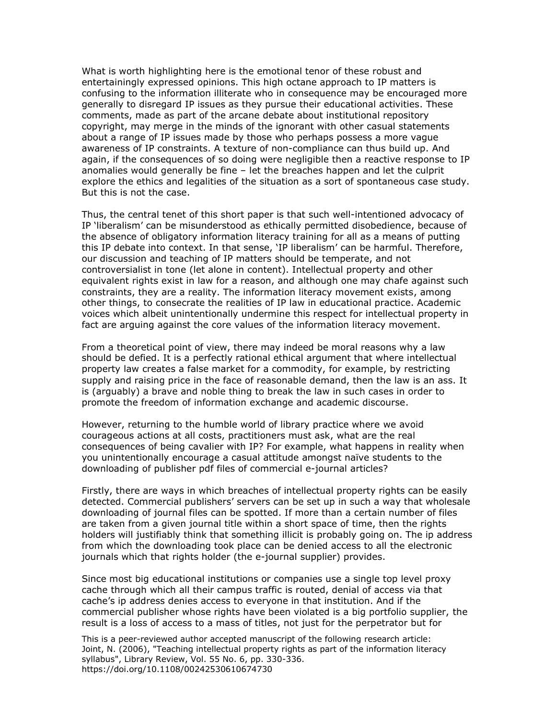What is worth highlighting here is the emotional tenor of these robust and entertainingly expressed opinions. This high octane approach to IP matters is confusing to the information illiterate who in consequence may be encouraged more generally to disregard IP issues as they pursue their educational activities. These comments, made as part of the arcane debate about institutional repository copyright, may merge in the minds of the ignorant with other casual statements about a range of IP issues made by those who perhaps possess a more vague awareness of IP constraints. A texture of non-compliance can thus build up. And again, if the consequences of so doing were negligible then a reactive response to IP anomalies would generally be fine – let the breaches happen and let the culprit explore the ethics and legalities of the situation as a sort of spontaneous case study. But this is not the case.

Thus, the central tenet of this short paper is that such well-intentioned advocacy of IP 'liberalism' can be misunderstood as ethically permitted disobedience, because of the absence of obligatory information literacy training for all as a means of putting this IP debate into context. In that sense, 'IP liberalism' can be harmful. Therefore, our discussion and teaching of IP matters should be temperate, and not controversialist in tone (let alone in content). Intellectual property and other equivalent rights exist in law for a reason, and although one may chafe against such constraints, they are a reality. The information literacy movement exists, among other things, to consecrate the realities of IP law in educational practice. Academic voices which albeit unintentionally undermine this respect for intellectual property in fact are arguing against the core values of the information literacy movement.

From a theoretical point of view, there may indeed be moral reasons why a law should be defied. It is a perfectly rational ethical argument that where intellectual property law creates a false market for a commodity, for example, by restricting supply and raising price in the face of reasonable demand, then the law is an ass. It is (arguably) a brave and noble thing to break the law in such cases in order to promote the freedom of information exchange and academic discourse.

However, returning to the humble world of library practice where we avoid courageous actions at all costs, practitioners must ask, what are the real consequences of being cavalier with IP? For example, what happens in reality when you unintentionally encourage a casual attitude amongst naïve students to the downloading of publisher pdf files of commercial e-journal articles?

Firstly, there are ways in which breaches of intellectual property rights can be easily detected. Commercial publishers' servers can be set up in such a way that wholesale downloading of journal files can be spotted. If more than a certain number of files are taken from a given journal title within a short space of time, then the rights holders will justifiably think that something illicit is probably going on. The ip address from which the downloading took place can be denied access to all the electronic journals which that rights holder (the e-journal supplier) provides.

Since most big educational institutions or companies use a single top level proxy cache through which all their campus traffic is routed, denial of access via that cache's ip address denies access to everyone in that institution. And if the commercial publisher whose rights have been violated is a big portfolio supplier, the result is a loss of access to a mass of titles, not just for the perpetrator but for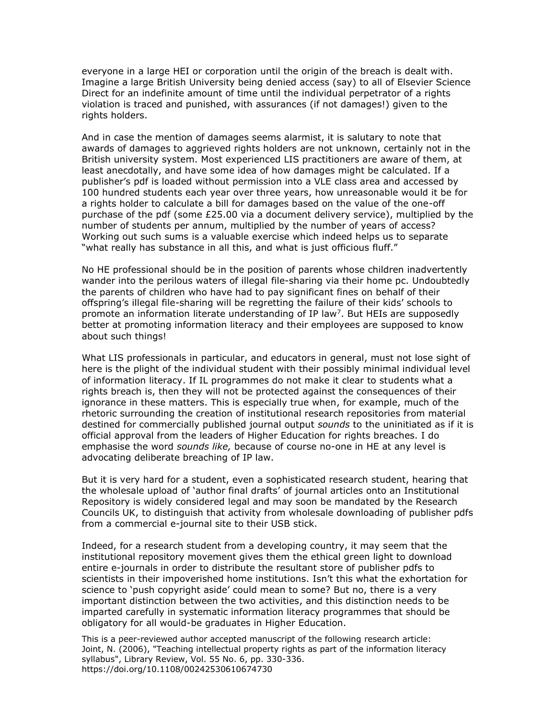everyone in a large HEI or corporation until the origin of the breach is dealt with. Imagine a large British University being denied access (say) to all of Elsevier Science Direct for an indefinite amount of time until the individual perpetrator of a rights violation is traced and punished, with assurances (if not damages!) given to the rights holders.

And in case the mention of damages seems alarmist, it is salutary to note that awards of damages to aggrieved rights holders are not unknown, certainly not in the British university system. Most experienced LIS practitioners are aware of them, at least anecdotally, and have some idea of how damages might be calculated. If a publisher's pdf is loaded without permission into a VLE class area and accessed by 100 hundred students each year over three years, how unreasonable would it be for a rights holder to calculate a bill for damages based on the value of the one-off purchase of the pdf (some £25.00 via a document delivery service), multiplied by the number of students per annum, multiplied by the number of years of access? Working out such sums is a valuable exercise which indeed helps us to separate "what really has substance in all this, and what is just officious fluff."

No HE professional should be in the position of parents whose children inadvertently wander into the perilous waters of illegal file-sharing via their home pc. Undoubtedly the parents of children who have had to pay significant fines on behalf of their offspring's illegal file-sharing will be regretting the failure of their kids' schools to promote an information literate understanding of IP law<sup>7</sup>. But HEIs are supposedly better at promoting information literacy and their employees are supposed to know about such things!

What LIS professionals in particular, and educators in general, must not lose sight of here is the plight of the individual student with their possibly minimal individual level of information literacy. If IL programmes do not make it clear to students what a rights breach is, then they will not be protected against the consequences of their ignorance in these matters. This is especially true when, for example, much of the rhetoric surrounding the creation of institutional research repositories from material destined for commercially published journal output *sounds* to the uninitiated as if it is official approval from the leaders of Higher Education for rights breaches. I do emphasise the word *sounds like,* because of course no-one in HE at any level is advocating deliberate breaching of IP law.

But it is very hard for a student, even a sophisticated research student, hearing that the wholesale upload of 'author final drafts' of journal articles onto an Institutional Repository is widely considered legal and may soon be mandated by the Research Councils UK, to distinguish that activity from wholesale downloading of publisher pdfs from a commercial e-journal site to their USB stick.

Indeed, for a research student from a developing country, it may seem that the institutional repository movement gives them the ethical green light to download entire e-journals in order to distribute the resultant store of publisher pdfs to scientists in their impoverished home institutions. Isn't this what the exhortation for science to 'push copyright aside' could mean to some? But no, there is a very important distinction between the two activities, and this distinction needs to be imparted carefully in systematic information literacy programmes that should be obligatory for all would-be graduates in Higher Education.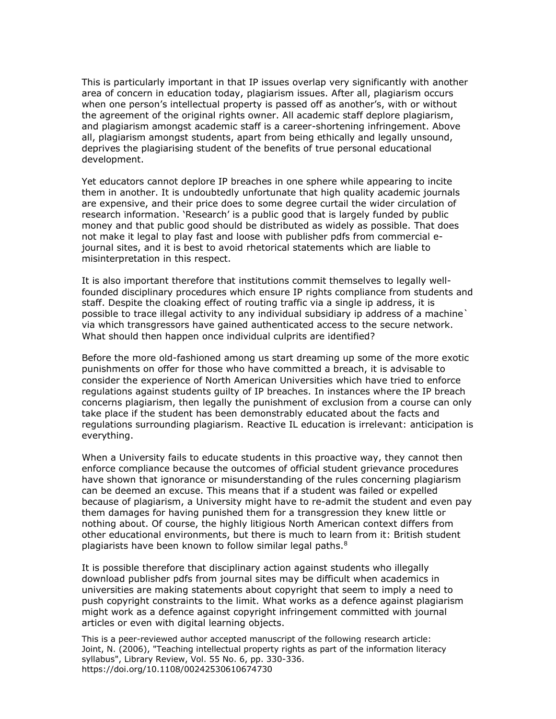This is particularly important in that IP issues overlap very significantly with another area of concern in education today, plagiarism issues. After all, plagiarism occurs when one person's intellectual property is passed off as another's, with or without the agreement of the original rights owner. All academic staff deplore plagiarism, and plagiarism amongst academic staff is a career-shortening infringement. Above all, plagiarism amongst students, apart from being ethically and legally unsound, deprives the plagiarising student of the benefits of true personal educational development.

Yet educators cannot deplore IP breaches in one sphere while appearing to incite them in another. It is undoubtedly unfortunate that high quality academic journals are expensive, and their price does to some degree curtail the wider circulation of research information. 'Research' is a public good that is largely funded by public money and that public good should be distributed as widely as possible. That does not make it legal to play fast and loose with publisher pdfs from commercial ejournal sites, and it is best to avoid rhetorical statements which are liable to misinterpretation in this respect.

It is also important therefore that institutions commit themselves to legally wellfounded disciplinary procedures which ensure IP rights compliance from students and staff. Despite the cloaking effect of routing traffic via a single ip address, it is possible to trace illegal activity to any individual subsidiary ip address of a machine` via which transgressors have gained authenticated access to the secure network. What should then happen once individual culprits are identified?

Before the more old-fashioned among us start dreaming up some of the more exotic punishments on offer for those who have committed a breach, it is advisable to consider the experience of North American Universities which have tried to enforce regulations against students guilty of IP breaches. In instances where the IP breach concerns plagiarism, then legally the punishment of exclusion from a course can only take place if the student has been demonstrably educated about the facts and regulations surrounding plagiarism. Reactive IL education is irrelevant: anticipation is everything.

When a University fails to educate students in this proactive way, they cannot then enforce compliance because the outcomes of official student grievance procedures have shown that ignorance or misunderstanding of the rules concerning plagiarism can be deemed an excuse. This means that if a student was failed or expelled because of plagiarism, a University might have to re-admit the student and even pay them damages for having punished them for a transgression they knew little or nothing about. Of course, the highly litigious North American context differs from other educational environments, but there is much to learn from it: British student plagiarists have been known to follow similar legal paths.<sup>8</sup>

It is possible therefore that disciplinary action against students who illegally download publisher pdfs from journal sites may be difficult when academics in universities are making statements about copyright that seem to imply a need to push copyright constraints to the limit. What works as a defence against plagiarism might work as a defence against copyright infringement committed with journal articles or even with digital learning objects.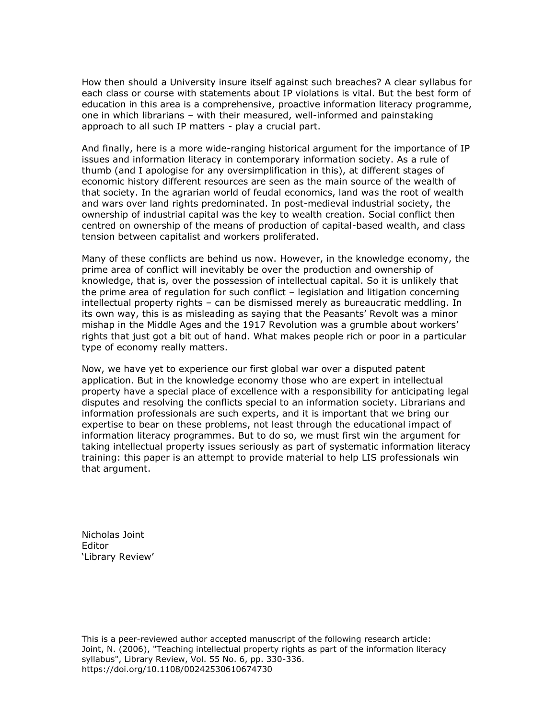How then should a University insure itself against such breaches? A clear syllabus for each class or course with statements about IP violations is vital. But the best form of education in this area is a comprehensive, proactive information literacy programme, one in which librarians – with their measured, well-informed and painstaking approach to all such IP matters - play a crucial part.

And finally, here is a more wide-ranging historical argument for the importance of IP issues and information literacy in contemporary information society. As a rule of thumb (and I apologise for any oversimplification in this), at different stages of economic history different resources are seen as the main source of the wealth of that society. In the agrarian world of feudal economics, land was the root of wealth and wars over land rights predominated. In post-medieval industrial society, the ownership of industrial capital was the key to wealth creation. Social conflict then centred on ownership of the means of production of capital-based wealth, and class tension between capitalist and workers proliferated.

Many of these conflicts are behind us now. However, in the knowledge economy, the prime area of conflict will inevitably be over the production and ownership of knowledge, that is, over the possession of intellectual capital. So it is unlikely that the prime area of regulation for such conflict – legislation and litigation concerning intellectual property rights – can be dismissed merely as bureaucratic meddling. In its own way, this is as misleading as saying that the Peasants' Revolt was a minor mishap in the Middle Ages and the 1917 Revolution was a grumble about workers' rights that just got a bit out of hand. What makes people rich or poor in a particular type of economy really matters.

Now, we have yet to experience our first global war over a disputed patent application. But in the knowledge economy those who are expert in intellectual property have a special place of excellence with a responsibility for anticipating legal disputes and resolving the conflicts special to an information society. Librarians and information professionals are such experts, and it is important that we bring our expertise to bear on these problems, not least through the educational impact of information literacy programmes. But to do so, we must first win the argument for taking intellectual property issues seriously as part of systematic information literacy training: this paper is an attempt to provide material to help LIS professionals win that argument.

Nicholas Joint Editor 'Library Review'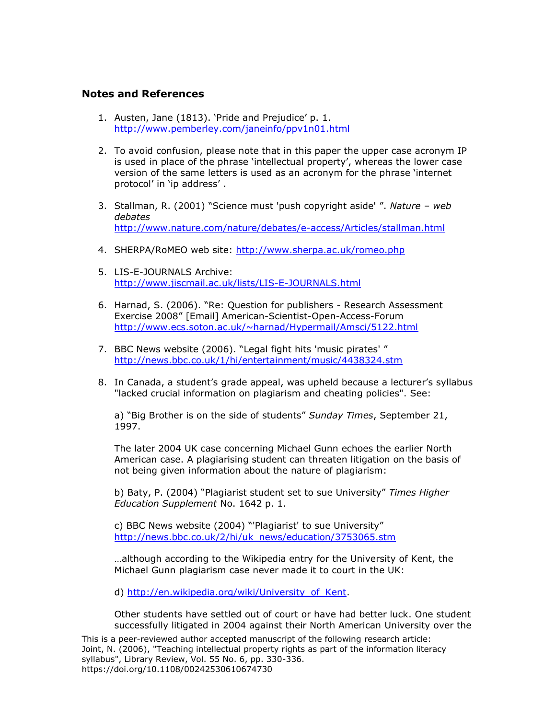## **Notes and References**

- 1. Austen, Jane (1813). 'Pride and Prejudice' p. 1. <http://www.pemberley.com/janeinfo/ppv1n01.html>
- 2. To avoid confusion, please note that in this paper the upper case acronym IP is used in place of the phrase 'intellectual property', whereas the lower case version of the same letters is used as an acronym for the phrase 'internet protocol' in 'ip address' .
- 3. Stallman, R. (2001) "Science must 'push copyright aside' ". *Nature – web debates* <http://www.nature.com/nature/debates/e-access/Articles/stallman.html>
- 4. SHERPA/RoMEO web site:<http://www.sherpa.ac.uk/romeo.php>
- 5. LIS-E-JOURNALS Archive: <http://www.jiscmail.ac.uk/lists/LIS-E-JOURNALS.html>
- 6. Harnad, S. (2006). "Re: Question for publishers Research Assessment Exercise 2008" [Email] American-Scientist-Open-Access-Forum <http://www.ecs.soton.ac.uk/~harnad/Hypermail/Amsci/5122.html>
- 7. BBC News website (2006). "Legal fight hits 'music pirates' " <http://news.bbc.co.uk/1/hi/entertainment/music/4438324.stm>
- 8. In Canada, a student's grade appeal, was upheld because a lecturer's syllabus "lacked crucial information on plagiarism and cheating policies". See:

a) "Big Brother is on the side of students" *Sunday Times*, September 21, 1997.

The later 2004 UK case concerning Michael Gunn echoes the earlier North American case. A plagiarising student can threaten litigation on the basis of not being given information about the nature of plagiarism:

b) Baty, P. (2004) "Plagiarist student set to sue University" *Times Higher Education Supplement* No. 1642 p. 1.

c) BBC News website (2004) "'Plagiarist' to sue University" [http://news.bbc.co.uk/2/hi/uk\\_news/education/3753065.stm](http://news.bbc.co.uk/2/hi/uk_news/education/3753065.stm)

…although according to the Wikipedia entry for the University of Kent, the Michael Gunn plagiarism case never made it to court in the UK:

d) [http://en.wikipedia.org/wiki/University\\_of\\_Kent.](http://en.wikipedia.org/wiki/University_of_Kent)

Other students have settled out of court or have had better luck. One student successfully litigated in 2004 against their North American University over the